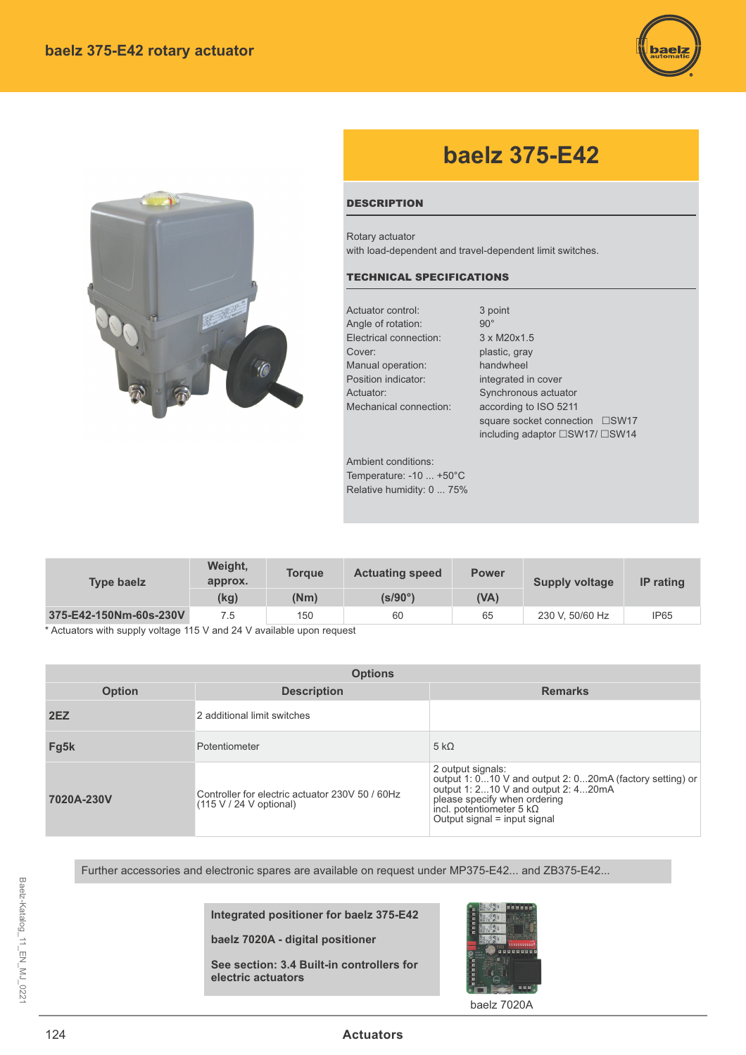



## **baelz 375-E42**

## **DESCRIPTION**

Rotary actuator with load-dependent and travel-dependent limit switches.

## TECHNICAL SPECIFICATIONS

| Actuator control:      | 3 point                        |  |
|------------------------|--------------------------------|--|
| Angle of rotation:     | $90^\circ$                     |  |
| Electrical connection: | 3 x M20x1.5                    |  |
| Cover:                 | plastic, gray                  |  |
| Manual operation:      | handwheel                      |  |
| Position indicator:    | integrated in cover            |  |
| Actuator:              | Synchronous actuator           |  |
| Mechanical connection: | according to ISO 5211          |  |
|                        | square socket connection □SW17 |  |

including adaptor  $\square$ SW17/ $\square$ SW14

Ambient conditions: Temperature: -10 ... +50°C Relative humidity: 0 ... 75%

| <b>Type baelz</b>      | Weight,<br>approx. | <b>Toraue</b> | <b>Actuating speed</b> | <b>Power</b> | <b>Supply voltage</b> | <b>IP</b> rating |
|------------------------|--------------------|---------------|------------------------|--------------|-----------------------|------------------|
|                        | (kg)               | (Nm)          | (s/90°)                | (VA)         |                       |                  |
| 375-E42-150Nm-60s-230V | 7.5                | 150           | 60                     | 65           | 230 V, 50/60 Hz       | <b>IP65</b>      |

\* Actuators with supply voltage 115 V and 24 V available upon request

| <b>Options</b> |                                                                              |                                                                                                                                                                                                                         |  |  |  |
|----------------|------------------------------------------------------------------------------|-------------------------------------------------------------------------------------------------------------------------------------------------------------------------------------------------------------------------|--|--|--|
| <b>Option</b>  | <b>Description</b>                                                           | <b>Remarks</b>                                                                                                                                                                                                          |  |  |  |
| 2EZ            | 2 additional limit switches                                                  |                                                                                                                                                                                                                         |  |  |  |
| Fg5k           | Potentiometer                                                                | $5 k\Omega$                                                                                                                                                                                                             |  |  |  |
| 7020A-230V     | Controller for electric actuator 230V 50 / 60Hz<br>$(115 V / 24 V$ optional) | 2 output signals:<br>output 1: 010 V and output 2: 020mA (factory setting) or<br>output 1: 210 V and output 2: 420mA<br>please specify when ordering<br>incl. potentiometer 5 $k\Omega$<br>Output signal = input signal |  |  |  |

Further accessories and electronic spares are available on request under MP375-E42... and ZB375-E42...

**Integrated positioner for baelz 375-E42**

**baelz 7020A - digital positioner** 

**See section: 3.4 Built-in controllers for electric actuators**



baelz 7020A